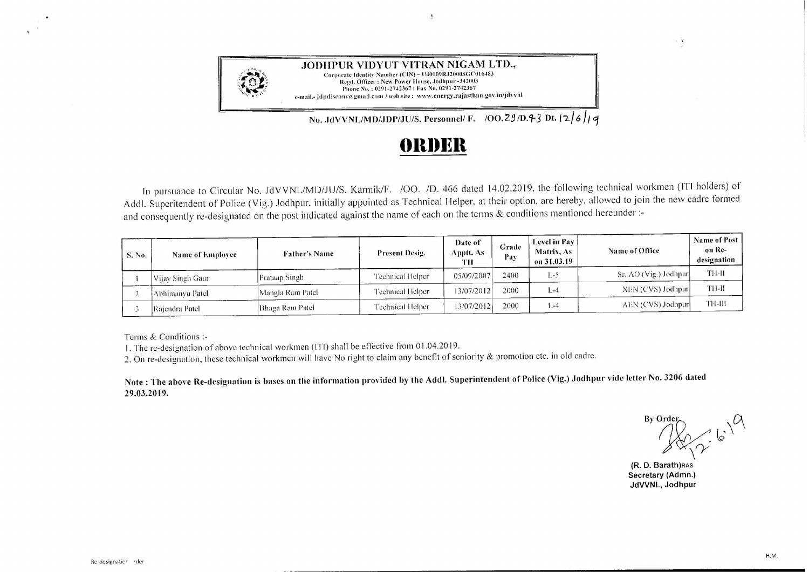

**JODHPUR VIDYUT VITRAN NIGAM LTD.,**  Corporate ldcnlily Number **(CIN) - l** !40109R.12000SGClll 6483 Regd. Officer: New Power House, Jodhpur -342003 Phone No.: 0291-2742367: Fax No. 0291-2742367 e-mail.- jdpdiscom'a/gmail.com / web site : www.energy.rajasthan.gov.in/jdvvnl

No. JdVVNL/MD/JDP/JU/S. Personnel/ F. /00.29/D.43 Dt.  $\vert 2/6/4$ 

## **()lll)l~ll**

 $\overline{1}$ 

In pursuance to Circular No. JdVVNL/MD/JU/S. Karmik/F. /OO. /D. 466 dated 14.02.2019, the following technical workmen (ITI holders) of Addi. Superitendent of Police (Vig.) Jodhpur, initially appointed as Technical Helper, at their option, are hereby, allowed to join the new cadre formed and consequently re-designated on the post indicated against the name of each on the terms & conditions mentioned hereunder :-

| S. No. | Name of Employee | <b>Father's Name</b> | Present Desig.   | Date of<br>Apptt. As-<br>TН | Grade<br>Pay | Level in Pay<br>Matrix, As<br>on 31.03.19 | Name of Office        | <b>Name of Post</b><br>on Re-<br>designation |
|--------|------------------|----------------------|------------------|-----------------------------|--------------|-------------------------------------------|-----------------------|----------------------------------------------|
|        | Vijav Singh Gaur | Prataap Singh        | Technical Helper | 05/09/2007                  | 2400         | $1 - 5$                                   | Sr. AO (Vig.) Jodhpur | TH-II                                        |
|        | Abhimanyu Patel  | Mangla Ram Patel     | Technical Helper | 13/07/2012                  | 2000         | $L - 4$                                   | XEN (CVS) Jodhpur     | TH-H                                         |
|        | Rajendra Patel   | Bhaga Ram Patel      | Technical Helper | 13/07/2012                  | 2000         | $1 - 4$                                   | AEN (CVS) Jodhpur     | TH-III                                       |

Terms & Conditions :-

1. The re-designation of above technical workmen (ITI) shall be effective from O 1.04.2019.

2. On re-designation, these technical workmen will have No right to claim any benefit of seniority & promotion etc. in old cadre.

**Note: The above Re-designation is bases on the information provided by the Addi. Superintendent of Police (Vig.) Jodhpur vide letter No. 3206 dated 29.03.2019.** 

 $\cdot$  No. 3206 dated<br>By Order<br>  $\bigotimes_{\infty}$  *C*  $\sqrt{2}$  6'  $\sqrt{\gamma}$ 

 $\Delta$ .

**(R. D. Barath)RAS Secretary (Admn.) JdVVNL, Jodhpur**